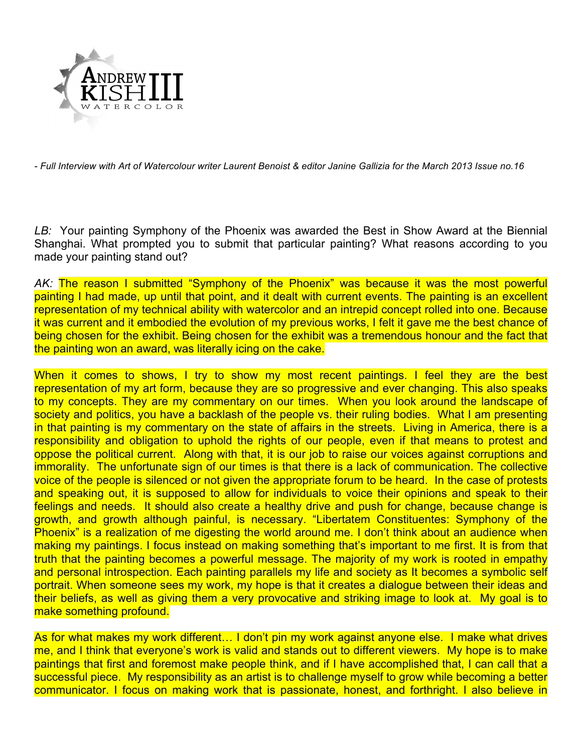

*- Full Interview with Art of Watercolour writer Laurent Benoist & editor Janine Gallizia for the March 2013 Issue no.16*

LB: Your painting Symphony of the Phoenix was awarded the Best in Show Award at the Biennial Shanghai. What prompted you to submit that particular painting? What reasons according to you made your painting stand out?

*AK:* The reason I submitted "Symphony of the Phoenix" was because it was the most powerful painting I had made, up until that point, and it dealt with current events. The painting is an excellent representation of my technical ability with watercolor and an intrepid concept rolled into one. Because it was current and it embodied the evolution of my previous works, I felt it gave me the best chance of being chosen for the exhibit. Being chosen for the exhibit was a tremendous honour and the fact that the painting won an award, was literally icing on the cake.

When it comes to shows, I try to show my most recent paintings. I feel they are the best representation of my art form, because they are so progressive and ever changing. This also speaks to my concepts. They are my commentary on our times. When you look around the landscape of society and politics, you have a backlash of the people vs. their ruling bodies. What I am presenting in that painting is my commentary on the state of affairs in the streets. Living in America, there is a responsibility and obligation to uphold the rights of our people, even if that means to protest and oppose the political current. Along with that, it is our job to raise our voices against corruptions and immorality. The unfortunate sign of our times is that there is a lack of communication. The collective voice of the people is silenced or not given the appropriate forum to be heard. In the case of protests and speaking out, it is supposed to allow for individuals to voice their opinions and speak to their feelings and needs. It should also create a healthy drive and push for change, because change is growth, and growth although painful, is necessary. "Libertatem Constituentes: Symphony of the Phoenix" is a realization of me digesting the world around me. I don't think about an audience when making my paintings. I focus instead on making something that's important to me first. It is from that truth that the painting becomes a powerful message. The majority of my work is rooted in empathy and personal introspection. Each painting parallels my life and society as It becomes a symbolic self portrait. When someone sees my work, my hope is that it creates a dialogue between their ideas and their beliefs, as well as giving them a very provocative and striking image to look at. My goal is to make something profound.

As for what makes my work different… I don't pin my work against anyone else. I make what drives me, and I think that everyone's work is valid and stands out to different viewers. My hope is to make paintings that first and foremost make people think, and if I have accomplished that, I can call that a successful piece. My responsibility as an artist is to challenge myself to grow while becoming a better communicator. I focus on making work that is passionate, honest, and forthright. I also believe in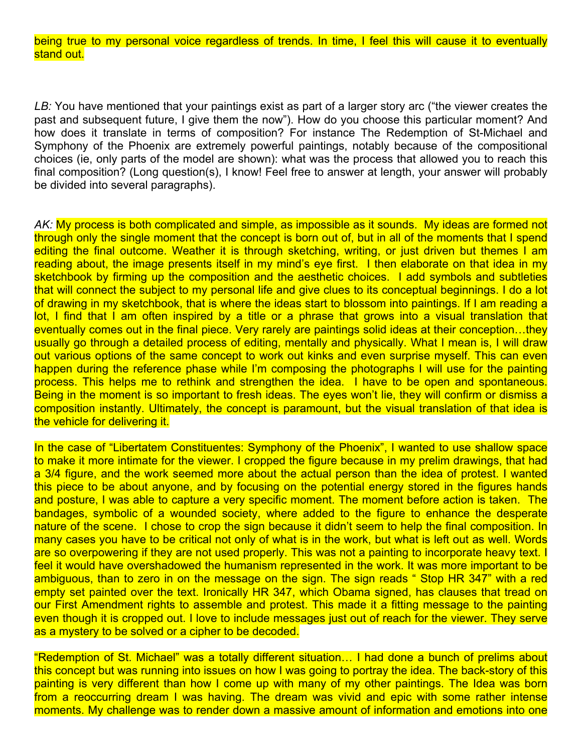being true to my personal voice regardless of trends. In time, I feel this will cause it to eventually stand out.

*LB:* You have mentioned that your paintings exist as part of a larger story arc ("the viewer creates the past and subsequent future, I give them the now"). How do you choose this particular moment? And how does it translate in terms of composition? For instance The Redemption of St-Michael and Symphony of the Phoenix are extremely powerful paintings, notably because of the compositional choices (ie, only parts of the model are shown): what was the process that allowed you to reach this final composition? (Long question(s), I know! Feel free to answer at length, your answer will probably be divided into several paragraphs).

AK: My process is both complicated and simple, as impossible as it sounds. My ideas are formed not through only the single moment that the concept is born out of, but in all of the moments that I spend editing the final outcome. Weather it is through sketching, writing, or just driven but themes I am reading about, the image presents itself in my mind's eye first. I then elaborate on that idea in my sketchbook by firming up the composition and the aesthetic choices. I add symbols and subtleties that will connect the subject to my personal life and give clues to its conceptual beginnings. I do a lot of drawing in my sketchbook, that is where the ideas start to blossom into paintings. If I am reading a lot, I find that I am often inspired by a title or a phrase that grows into a visual translation that eventually comes out in the final piece. Very rarely are paintings solid ideas at their conception...they usually go through a detailed process of editing, mentally and physically. What I mean is, I will draw out various options of the same concept to work out kinks and even surprise myself. This can even happen during the reference phase while I'm composing the photographs I will use for the painting process. This helps me to rethink and strengthen the idea. I have to be open and spontaneous. Being in the moment is so important to fresh ideas. The eyes won't lie, they will confirm or dismiss a composition instantly. Ultimately, the concept is paramount, but the visual translation of that idea is the vehicle for delivering it.

In the case of "Libertatem Constituentes: Symphony of the Phoenix", I wanted to use shallow space to make it more intimate for the viewer. I cropped the figure because in my prelim drawings, that had a 3/4 figure, and the work seemed more about the actual person than the idea of protest. I wanted this piece to be about anyone, and by focusing on the potential energy stored in the figures hands and posture, I was able to capture a very specific moment. The moment before action is taken. The bandages, symbolic of a wounded society, where added to the figure to enhance the desperate nature of the scene. I chose to crop the sign because it didn't seem to help the final composition. In many cases you have to be critical not only of what is in the work, but what is left out as well. Words are so overpowering if they are not used properly. This was not a painting to incorporate heavy text. I feel it would have overshadowed the humanism represented in the work. It was more important to be ambiguous, than to zero in on the message on the sign. The sign reads " Stop HR 347" with a red empty set painted over the text. Ironically HR 347, which Obama signed, has clauses that tread on our First Amendment rights to assemble and protest. This made it a fitting message to the painting even though it is cropped out. I love to include messages just out of reach for the viewer. They serve as a mystery to be solved or a cipher to be decoded.

"Redemption of St. Michael" was a totally different situation… I had done a bunch of prelims about this concept but was running into issues on how I was going to portray the idea. The back-story of this painting is very different than how I come up with many of my other paintings. The Idea was born from a reoccurring dream I was having. The dream was vivid and epic with some rather intense moments. My challenge was to render down a massive amount of information and emotions into one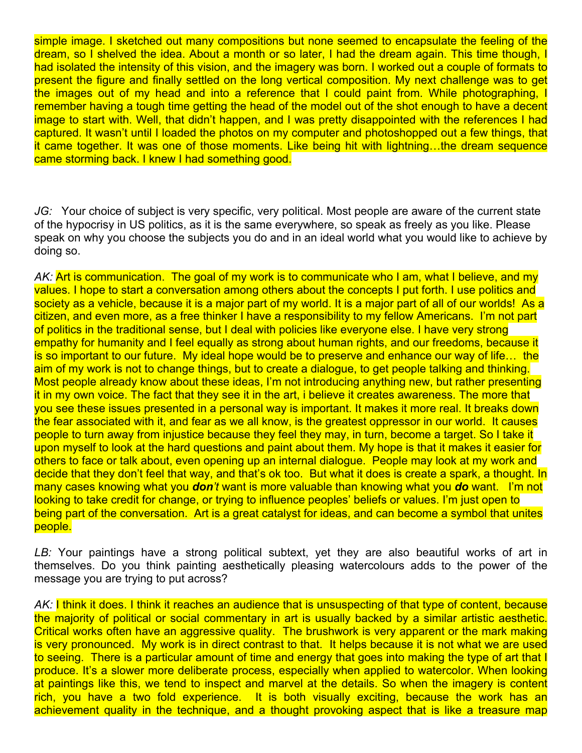simple image. I sketched out many compositions but none seemed to encapsulate the feeling of the dream, so I shelved the idea. About a month or so later, I had the dream again. This time though, I had isolated the intensity of this vision, and the imagery was born. I worked out a couple of formats to present the figure and finally settled on the long vertical composition. My next challenge was to get the images out of my head and into a reference that I could paint from. While photographing, I remember having a tough time getting the head of the model out of the shot enough to have a decent image to start with. Well, that didn't happen, and I was pretty disappointed with the references I had captured. It wasn't until I loaded the photos on my computer and photoshopped out a few things, that it came together. It was one of those moments. Like being hit with lightning…the dream sequence came storming back. I knew I had something good.

*JG:* Your choice of subject is very specific, very political. Most people are aware of the current state of the hypocrisy in US politics, as it is the same everywhere, so speak as freely as you like. Please speak on why you choose the subjects you do and in an ideal world what you would like to achieve by doing so.

AK: **Art is communication. The goal of my work is to communicate who I am, what I believe, and my** values. I hope to start a conversation among others about the concepts I put forth. I use politics and society as a vehicle, because it is a major part of my world. It is a major part of all of our worlds! As a citizen, and even more, as a free thinker I have a responsibility to my fellow Americans. I'm not part of politics in the traditional sense, but I deal with policies like everyone else. I have very strong empathy for humanity and I feel equally as strong about human rights, and our freedoms, because it is so important to our future. My ideal hope would be to preserve and enhance our way of life… the aim of my work is not to change things, but to create a dialogue, to get people talking and thinking. Most people already know about these ideas, I'm not introducing anything new, but rather presenting it in my own voice. The fact that they see it in the art, i believe it creates awareness. The more that you see these issues presented in a personal way is important. It makes it more real. It breaks down the fear associated with it, and fear as we all know, is the greatest oppressor in our world. It causes people to turn away from injustice because they feel they may, in turn, become a target. So I take it upon myself to look at the hard questions and paint about them. My hope is that it makes it easier for others to face or talk about, even opening up an internal dialogue. People may look at my work and decide that they don't feel that way, and that's ok too. But what it does is create a spark, a thought. In many cases knowing what you *don't* want is more valuable than knowing what you *do* want. I'm not looking to take credit for change, or trying to influence peoples' beliefs or values. I'm just open to being part of the conversation. Art is a great catalyst for ideas, and can become a symbol that unites people.

LB: Your paintings have a strong political subtext, yet they are also beautiful works of art in themselves. Do you think painting aesthetically pleasing watercolours adds to the power of the message you are trying to put across?

AK: **I think it does. I think it reaches an audience that is unsuspecting of that type of content, because** the majority of political or social commentary in art is usually backed by a similar artistic aesthetic. Critical works often have an aggressive quality. The brushwork is very apparent or the mark making is very pronounced. My work is in direct contrast to that. It helps because it is not what we are used to seeing. There is a particular amount of time and energy that goes into making the type of art that I produce. It's a slower more deliberate process, especially when applied to watercolor. When looking at paintings like this, we tend to inspect and marvel at the details. So when the imagery is content rich, you have a two fold experience. It is both visually exciting, because the work has an achievement quality in the technique, and a thought provoking aspect that is like a treasure map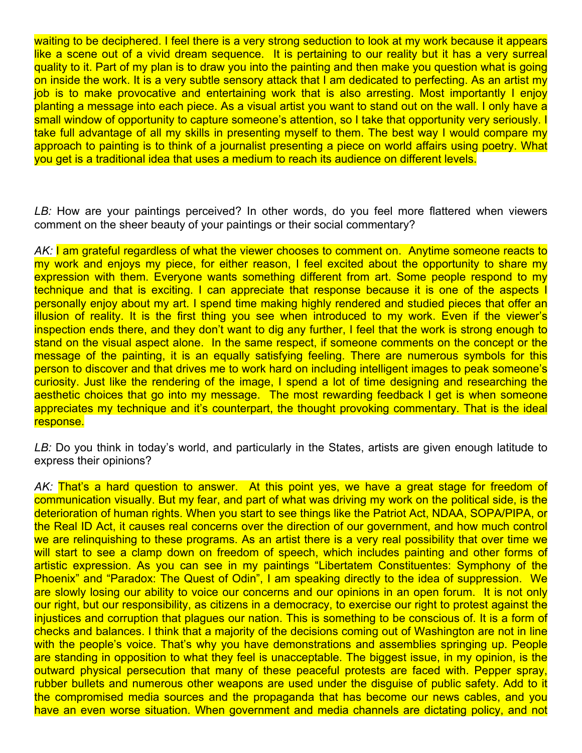waiting to be deciphered. I feel there is a very strong seduction to look at my work because it appears like a scene out of a vivid dream sequence. It is pertaining to our reality but it has a very surreal quality to it. Part of my plan is to draw you into the painting and then make you question what is going on inside the work. It is a very subtle sensory attack that I am dedicated to perfecting. As an artist my job is to make provocative and entertaining work that is also arresting. Most importantly I enjoy planting a message into each piece. As a visual artist you want to stand out on the wall. I only have a small window of opportunity to capture someone's attention, so I take that opportunity very seriously. I take full advantage of all my skills in presenting myself to them. The best way I would compare my approach to painting is to think of a journalist presenting a piece on world affairs using poetry. What you get is a traditional idea that uses a medium to reach its audience on different levels.

LB: How are your paintings perceived? In other words, do you feel more flattered when viewers comment on the sheer beauty of your paintings or their social commentary?

*AK:* I am grateful regardless of what the viewer chooses to comment on. Anytime someone reacts to my work and enjoys my piece, for either reason, I feel excited about the opportunity to share my expression with them. Everyone wants something different from art. Some people respond to my technique and that is exciting. I can appreciate that response because it is one of the aspects I personally enjoy about my art. I spend time making highly rendered and studied pieces that offer an illusion of reality. It is the first thing you see when introduced to my work. Even if the viewer's inspection ends there, and they don't want to dig any further, I feel that the work is strong enough to stand on the visual aspect alone. In the same respect, if someone comments on the concept or the message of the painting, it is an equally satisfying feeling. There are numerous symbols for this person to discover and that drives me to work hard on including intelligent images to peak someone's curiosity. Just like the rendering of the image, I spend a lot of time designing and researching the aesthetic choices that go into my message. The most rewarding feedback I get is when someone appreciates my technique and it's counterpart, the thought provoking commentary. That is the ideal response.

*LB:* Do you think in today's world, and particularly in the States, artists are given enough latitude to express their opinions?

*AK:* That's a hard question to answer. At this point yes, we have a great stage for freedom of communication visually. But my fear, and part of what was driving my work on the political side, is the deterioration of human rights. When you start to see things like the Patriot Act, NDAA, SOPA/PIPA, or the Real ID Act, it causes real concerns over the direction of our government, and how much control we are relinquishing to these programs. As an artist there is a very real possibility that over time we will start to see a clamp down on freedom of speech, which includes painting and other forms of artistic expression. As you can see in my paintings "Libertatem Constituentes: Symphony of the Phoenix" and "Paradox: The Quest of Odin", I am speaking directly to the idea of suppression. We are slowly losing our ability to voice our concerns and our opinions in an open forum. It is not only our right, but our responsibility, as citizens in a democracy, to exercise our right to protest against the injustices and corruption that plagues our nation. This is something to be conscious of. It is a form of checks and balances. I think that a majority of the decisions coming out of Washington are not in line with the people's voice. That's why you have demonstrations and assemblies springing up. People are standing in opposition to what they feel is unacceptable. The biggest issue, in my opinion, is the outward physical persecution that many of these peaceful protests are faced with. Pepper spray, rubber bullets and numerous other weapons are used under the disguise of public safety. Add to it the compromised media sources and the propaganda that has become our news cables, and you have an even worse situation. When government and media channels are dictating policy, and not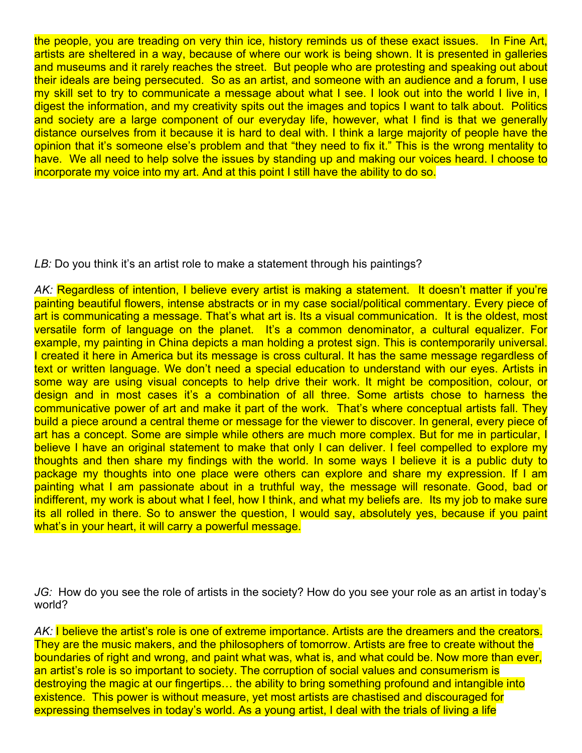the people, you are treading on very thin ice, history reminds us of these exact issues. In Fine Art, artists are sheltered in a way, because of where our work is being shown. It is presented in galleries and museums and it rarely reaches the street. But people who are protesting and speaking out about their ideals are being persecuted. So as an artist, and someone with an audience and a forum, I use my skill set to try to communicate a message about what I see. I look out into the world I live in, I digest the information, and my creativity spits out the images and topics I want to talk about. Politics and society are a large component of our everyday life, however, what I find is that we generally distance ourselves from it because it is hard to deal with. I think a large majority of people have the opinion that it's someone else's problem and that "they need to fix it." This is the wrong mentality to have. We all need to help solve the issues by standing up and making our voices heard. I choose to incorporate my voice into my art. And at this point I still have the ability to do so.

LB: Do you think it's an artist role to make a statement through his paintings?

*AK:* Regardless of intention, I believe every artist is making a statement. It doesn't matter if you're painting beautiful flowers, intense abstracts or in my case social/political commentary. Every piece of art is communicating a message. That's what art is. Its a visual communication. It is the oldest, most versatile form of language on the planet. It's a common denominator, a cultural equalizer. For example, my painting in China depicts a man holding a protest sign. This is contemporarily universal. I created it here in America but its message is cross cultural. It has the same message regardless of text or written language. We don't need a special education to understand with our eyes. Artists in some way are using visual concepts to help drive their work. It might be composition, colour, or design and in most cases it's a combination of all three. Some artists chose to harness the communicative power of art and make it part of the work. That's where conceptual artists fall. They build a piece around a central theme or message for the viewer to discover. In general, every piece of art has a concept. Some are simple while others are much more complex. But for me in particular, I believe I have an original statement to make that only I can deliver. I feel compelled to explore my thoughts and then share my findings with the world. In some ways I believe it is a public duty to package my thoughts into one place were others can explore and share my expression. If I am painting what I am passionate about in a truthful way, the message will resonate. Good, bad or indifferent, my work is about what I feel, how I think, and what my beliefs are. Its my job to make sure its all rolled in there. So to answer the question, I would say, absolutely yes, because if you paint what's in your heart, it will carry a powerful message.

*JG:* How do you see the role of artists in the society? How do you see your role as an artist in today's world?

AK: I believe the artist's role is one of extreme importance. Artists are the dreamers and the creators. They are the music makers, and the philosophers of tomorrow. Artists are free to create without the boundaries of right and wrong, and paint what was, what is, and what could be. Now more than ever, an artist's role is so important to society. The corruption of social values and consumerism is destroying the magic at our fingertips… the ability to bring something profound and intangible into existence. This power is without measure, yet most artists are chastised and discouraged for expressing themselves in today's world. As a young artist, I deal with the trials of living a life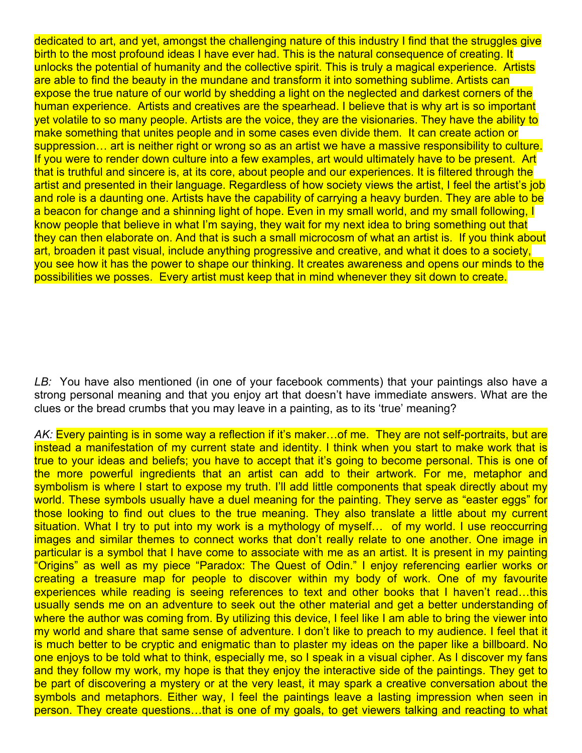dedicated to art, and yet, amongst the challenging nature of this industry I find that the struggles give birth to the most profound ideas I have ever had. This is the natural consequence of creating. It unlocks the potential of humanity and the collective spirit. This is truly a magical experience. Artists are able to find the beauty in the mundane and transform it into something sublime. Artists can expose the true nature of our world by shedding a light on the neglected and darkest corners of the human experience. Artists and creatives are the spearhead. I believe that is why art is so important yet volatile to so many people. Artists are the voice, they are the visionaries. They have the ability to make something that unites people and in some cases even divide them. It can create action or suppression… art is neither right or wrong so as an artist we have a massive responsibility to culture. If you were to render down culture into a few examples, art would ultimately have to be present. Art that is truthful and sincere is, at its core, about people and our experiences. It is filtered through the artist and presented in their language. Regardless of how society views the artist, I feel the artist's job and role is a daunting one. Artists have the capability of carrying a heavy burden. They are able to be a beacon for change and a shinning light of hope. Even in my small world, and my small following, I know people that believe in what I'm saying, they wait for my next idea to bring something out that they can then elaborate on. And that is such a small microcosm of what an artist is. If you think about art, broaden it past visual, include anything progressive and creative, and what it does to a society, you see how it has the power to shape our thinking. It creates awareness and opens our minds to the possibilities we posses. Every artist must keep that in mind whenever they sit down to create.

*LB:* You have also mentioned (in one of your facebook comments) that your paintings also have a strong personal meaning and that you enjoy art that doesn't have immediate answers. What are the clues or the bread crumbs that you may leave in a painting, as to its 'true' meaning?

AK: Every painting is in some way a reflection if it's maker... of me. They are not self-portraits, but are instead a manifestation of my current state and identity. I think when you start to make work that is true to your ideas and beliefs; you have to accept that it's going to become personal. This is one of the more powerful ingredients that an artist can add to their artwork. For me, metaphor and symbolism is where I start to expose my truth. I'll add little components that speak directly about my world. These symbols usually have a duel meaning for the painting. They serve as "easter eggs" for those looking to find out clues to the true meaning. They also translate a little about my current situation. What I try to put into my work is a mythology of myself... of my world. I use reoccurring images and similar themes to connect works that don't really relate to one another. One image in particular is a symbol that I have come to associate with me as an artist. It is present in my painting "Origins" as well as my piece "Paradox: The Quest of Odin." I enjoy referencing earlier works or creating a treasure map for people to discover within my body of work. One of my favourite experiences while reading is seeing references to text and other books that I haven't read...this usually sends me on an adventure to seek out the other material and get a better understanding of where the author was coming from. By utilizing this device, I feel like I am able to bring the viewer into my world and share that same sense of adventure. I don't like to preach to my audience. I feel that it is much better to be cryptic and enigmatic than to plaster my ideas on the paper like a billboard. No one enjoys to be told what to think, especially me, so I speak in a visual cipher. As I discover my fans and they follow my work, my hope is that they enjoy the interactive side of the paintings. They get to be part of discovering a mystery or at the very least, it may spark a creative conversation about the symbols and metaphors. Either way, I feel the paintings leave a lasting impression when seen in person. They create questions…that is one of my goals, to get viewers talking and reacting to what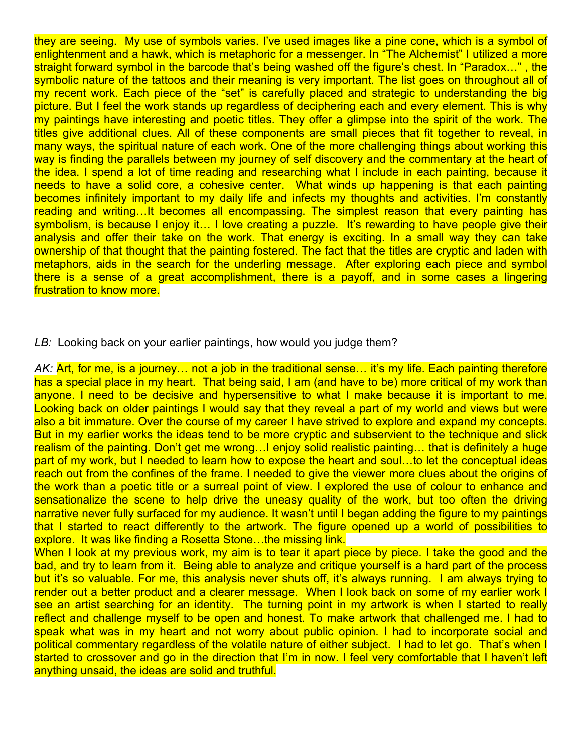they are seeing. My use of symbols varies. I've used images like a pine cone, which is a symbol of enlightenment and a hawk, which is metaphoric for a messenger. In "The Alchemist" I utilized a more straight forward symbol in the barcode that's being washed off the figure's chest. In "Paradox…" , the symbolic nature of the tattoos and their meaning is very important. The list goes on throughout all of my recent work. Each piece of the "set" is carefully placed and strategic to understanding the big picture. But I feel the work stands up regardless of deciphering each and every element. This is why my paintings have interesting and poetic titles. They offer a glimpse into the spirit of the work. The titles give additional clues. All of these components are small pieces that fit together to reveal, in many ways, the spiritual nature of each work. One of the more challenging things about working this way is finding the parallels between my journey of self discovery and the commentary at the heart of the idea. I spend a lot of time reading and researching what I include in each painting, because it needs to have a solid core, a cohesive center. What winds up happening is that each painting becomes infinitely important to my daily life and infects my thoughts and activities. I'm constantly reading and writing…It becomes all encompassing. The simplest reason that every painting has symbolism, is because I enjoy it... I love creating a puzzle. It's rewarding to have people give their analysis and offer their take on the work. That energy is exciting. In a small way they can take ownership of that thought that the painting fostered. The fact that the titles are cryptic and laden with metaphors, aids in the search for the underling message. After exploring each piece and symbol there is a sense of a great accomplishment, there is a payoff, and in some cases a lingering frustration to know more.

*LB:* Looking back on your earlier paintings, how would you judge them?

AK: **Art, for me, is a journey... not a job in the traditional sense... it's my life. Each painting therefore** has a special place in my heart. That being said, I am (and have to be) more critical of my work than anyone. I need to be decisive and hypersensitive to what I make because it is important to me. Looking back on older paintings I would say that they reveal a part of my world and views but were also a bit immature. Over the course of my career I have strived to explore and expand my concepts. But in my earlier works the ideas tend to be more cryptic and subservient to the technique and slick realism of the painting. Don't get me wrong…I enjoy solid realistic painting… that is definitely a huge part of my work, but I needed to learn how to expose the heart and soul…to let the conceptual ideas reach out from the confines of the frame. I needed to give the viewer more clues about the origins of the work than a poetic title or a surreal point of view. I explored the use of colour to enhance and sensationalize the scene to help drive the uneasy quality of the work, but too often the driving narrative never fully surfaced for my audience. It wasn't until I began adding the figure to my paintings that I started to react differently to the artwork. The figure opened up a world of possibilities to explore. It was like finding a Rosetta Stone…the missing link.

When I look at my previous work, my aim is to tear it apart piece by piece. I take the good and the bad, and try to learn from it. Being able to analyze and critique yourself is a hard part of the process but it's so valuable. For me, this analysis never shuts off, it's always running. I am always trying to render out a better product and a clearer message. When I look back on some of my earlier work I see an artist searching for an identity. The turning point in my artwork is when I started to really reflect and challenge myself to be open and honest. To make artwork that challenged me. I had to speak what was in my heart and not worry about public opinion. I had to incorporate social and political commentary regardless of the volatile nature of either subject. I had to let go. That's when I started to crossover and go in the direction that I'm in now. I feel very comfortable that I haven't left anything unsaid, the ideas are solid and truthful.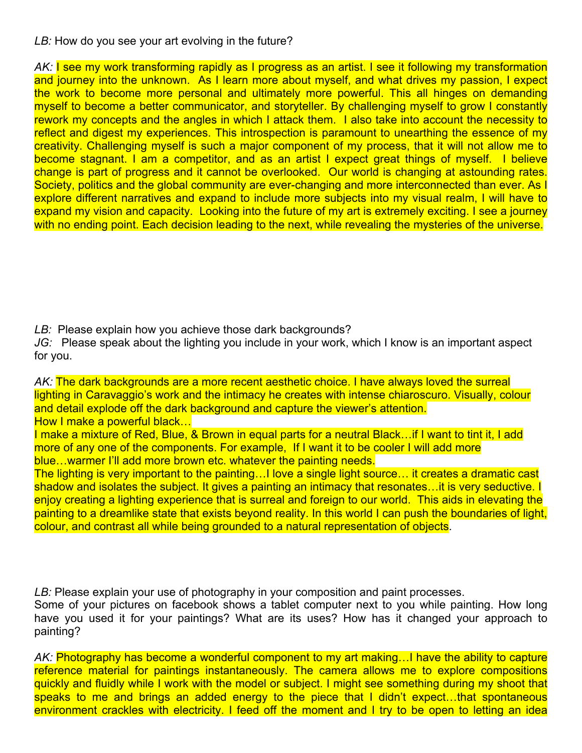## *LB:* How do you see your art evolving in the future?

AK: **I see my work transforming rapidly as I progress as an artist. I see it following my transformation** and journey into the unknown. As I learn more about myself, and what drives my passion, I expect the work to become more personal and ultimately more powerful. This all hinges on demanding myself to become a better communicator, and storyteller. By challenging myself to grow I constantly rework my concepts and the angles in which I attack them. I also take into account the necessity to reflect and digest my experiences. This introspection is paramount to unearthing the essence of my creativity. Challenging myself is such a major component of my process, that it will not allow me to become stagnant. I am a competitor, and as an artist I expect great things of myself. I believe change is part of progress and it cannot be overlooked. Our world is changing at astounding rates. Society, politics and the global community are ever-changing and more interconnected than ever. As I explore different narratives and expand to include more subjects into my visual realm, I will have to expand my vision and capacity. Looking into the future of my art is extremely exciting. I see a journey with no ending point. Each decision leading to the next, while revealing the mysteries of the universe.

*LB:* Please explain how you achieve those dark backgrounds?

*JG:* Please speak about the lighting you include in your work, which I know is an important aspect for you.

*AK:* The dark backgrounds are a more recent aesthetic choice. I have always loved the surreal lighting in Caravaggio's work and the intimacy he creates with intense chiaroscuro. Visually, colour and detail explode off the dark background and capture the viewer's attention. How I make a powerful black…

I make a mixture of Red, Blue, & Brown in equal parts for a neutral Black…if I want to tint it, I add more of any one of the components. For example, If I want it to be cooler I will add more blue…warmer I'll add more brown etc. whatever the painting needs.

The lighting is very important to the painting…I love a single light source… it creates a dramatic cast shadow and isolates the subject. It gives a painting an intimacy that resonates... it is very seductive. I enjoy creating a lighting experience that is surreal and foreign to our world. This aids in elevating the painting to a dreamlike state that exists beyond reality. In this world I can push the boundaries of light, colour, and contrast all while being grounded to a natural representation of objects.

*LB:* Please explain your use of photography in your composition and paint processes.

Some of your pictures on facebook shows a tablet computer next to you while painting. How long have you used it for your paintings? What are its uses? How has it changed your approach to painting?

*AK:* Photography has become a wonderful component to my art making…I have the ability to capture reference material for paintings instantaneously. The camera allows me to explore compositions quickly and fluidly while I work with the model or subject. I might see something during my shoot that speaks to me and brings an added energy to the piece that I didn't expect…that spontaneous environment crackles with electricity. I feed off the moment and I try to be open to letting an idea